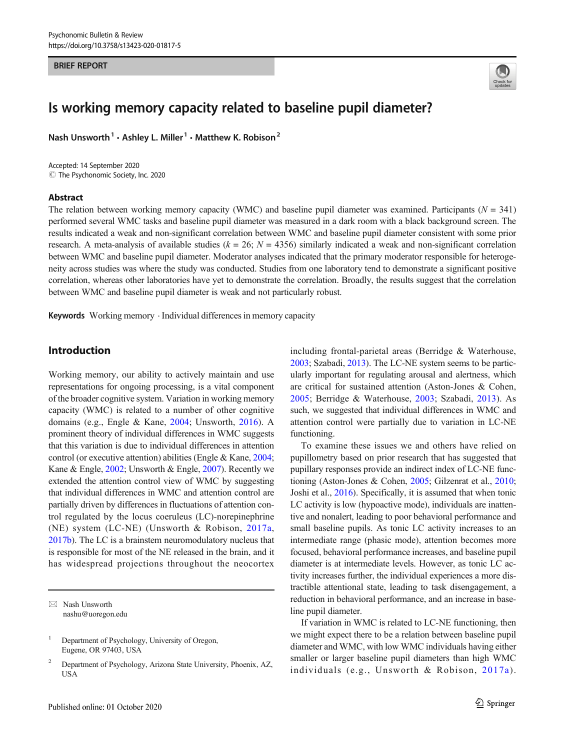#### BRIEF REPORT



# Is working memory capacity related to baseline pupil diameter?

Nash Unsworth<sup>1</sup> • Ashley L. Miller<sup>1</sup> • Matthew K. Robison<sup>2</sup>

Accepted: 14 September 2020  $\odot$  The Psychonomic Society, Inc. 2020

### Abstract

The relation between working memory capacity (WMC) and baseline pupil diameter was examined. Participants (*N* = 341) performed several WMC tasks and baseline pupil diameter was measured in a dark room with a black background screen. The results indicated a weak and non-significant correlation between WMC and baseline pupil diameter consistent with some prior research. A meta-analysis of available studies  $(k = 26; N = 4356)$  similarly indicated a weak and non-significant correlation between WMC and baseline pupil diameter. Moderator analyses indicated that the primary moderator responsible for heterogeneity across studies was where the study was conducted. Studies from one laboratory tend to demonstrate a significant positive correlation, whereas other laboratories have yet to demonstrate the correlation. Broadly, the results suggest that the correlation between WMC and baseline pupil diameter is weak and not particularly robust.

Keywords Working memory . Individual differences in memory capacity

# Introduction

Working memory, our ability to actively maintain and use representations for ongoing processing, is a vital component of the broader cognitive system. Variation in working memory capacity (WMC) is related to a number of other cognitive domains (e.g., Engle & Kane, [2004;](#page-9-0) Unsworth, [2016](#page-9-0)). A prominent theory of individual differences in WMC suggests that this variation is due to individual differences in attention control (or executive attention) abilities (Engle & Kane, [2004](#page-9-0); Kane & Engle, [2002;](#page-9-0) Unsworth & Engle, [2007](#page-9-0)). Recently we extended the attention control view of WMC by suggesting that individual differences in WMC and attention control are partially driven by differences in fluctuations of attention control regulated by the locus coeruleus (LC)-norepinephrine (NE) system (LC-NE) (Unsworth & Robison, [2017a,](#page-9-0) [2017b](#page-9-0)). The LC is a brainstem neuromodulatory nucleus that is responsible for most of the NE released in the brain, and it has widespread projections throughout the neocortex

 $\boxtimes$  Nash Unsworth [nashu@uoregon.edu](mailto:nashu@uoregon.edu) including frontal-parietal areas (Berridge & Waterhouse, [2003;](#page-8-0) Szabadi, [2013\)](#page-9-0). The LC-NE system seems to be particularly important for regulating arousal and alertness, which are critical for sustained attention (Aston-Jones & Cohen, [2005](#page-8-0); Berridge & Waterhouse, [2003](#page-8-0); Szabadi, [2013](#page-9-0)). As such, we suggested that individual differences in WMC and attention control were partially due to variation in LC-NE functioning.

To examine these issues we and others have relied on pupillometry based on prior research that has suggested that pupillary responses provide an indirect index of LC-NE functioning (Aston-Jones & Cohen, [2005](#page-8-0); Gilzenrat et al., [2010;](#page-9-0) Joshi et al., [2016](#page-9-0)). Specifically, it is assumed that when tonic LC activity is low (hypoactive mode), individuals are inattentive and nonalert, leading to poor behavioral performance and small baseline pupils. As tonic LC activity increases to an intermediate range (phasic mode), attention becomes more focused, behavioral performance increases, and baseline pupil diameter is at intermediate levels. However, as tonic LC activity increases further, the individual experiences a more distractible attentional state, leading to task disengagement, a reduction in behavioral performance, and an increase in baseline pupil diameter.

If variation in WMC is related to LC-NE functioning, then we might expect there to be a relation between baseline pupil diameter and WMC, with low WMC individuals having either smaller or larger baseline pupil diameters than high WMC individuals (e.g., Unsworth & Robison, [2017a\)](#page-9-0).

Department of Psychology, University of Oregon, Eugene, OR 97403, USA

<sup>&</sup>lt;sup>2</sup> Department of Psychology, Arizona State University, Phoenix, AZ, USA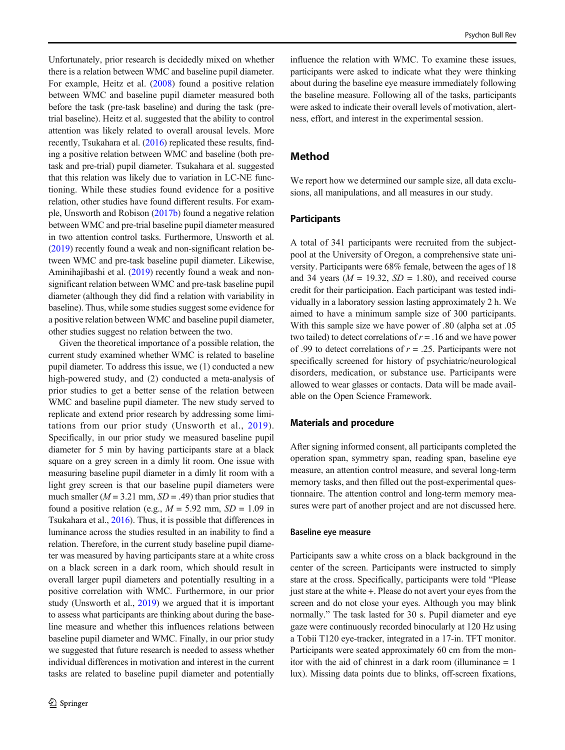Unfortunately, prior research is decidedly mixed on whether there is a relation between WMC and baseline pupil diameter. For example, Heitz et al. [\(2008](#page-9-0)) found a positive relation between WMC and baseline pupil diameter measured both before the task (pre-task baseline) and during the task (pretrial baseline). Heitz et al. suggested that the ability to control attention was likely related to overall arousal levels. More recently, Tsukahara et al. [\(2016\)](#page-9-0) replicated these results, finding a positive relation between WMC and baseline (both pretask and pre-trial) pupil diameter. Tsukahara et al. suggested that this relation was likely due to variation in LC-NE functioning. While these studies found evidence for a positive relation, other studies have found different results. For example, Unsworth and Robison ([2017b](#page-9-0)) found a negative relation between WMC and pre-trial baseline pupil diameter measured in two attention control tasks. Furthermore, Unsworth et al. [\(2019\)](#page-9-0) recently found a weak and non-significant relation between WMC and pre-task baseline pupil diameter. Likewise, Aminihajibashi et al. ([2019](#page-8-0)) recently found a weak and nonsignificant relation between WMC and pre-task baseline pupil diameter (although they did find a relation with variability in baseline). Thus, while some studies suggest some evidence for a positive relation between WMC and baseline pupil diameter, other studies suggest no relation between the two.

Given the theoretical importance of a possible relation, the current study examined whether WMC is related to baseline pupil diameter. To address this issue, we (1) conducted a new high-powered study, and (2) conducted a meta-analysis of prior studies to get a better sense of the relation between WMC and baseline pupil diameter. The new study served to replicate and extend prior research by addressing some limitations from our prior study (Unsworth et al., [2019](#page-9-0)). Specifically, in our prior study we measured baseline pupil diameter for 5 min by having participants stare at a black square on a grey screen in a dimly lit room. One issue with measuring baseline pupil diameter in a dimly lit room with a light grey screen is that our baseline pupil diameters were much smaller  $(M = 3.21$  mm,  $SD = .49$ ) than prior studies that found a positive relation (e.g.,  $M = 5.92$  mm,  $SD = 1.09$  in Tsukahara et al., [2016\)](#page-9-0). Thus, it is possible that differences in luminance across the studies resulted in an inability to find a relation. Therefore, in the current study baseline pupil diameter was measured by having participants stare at a white cross on a black screen in a dark room, which should result in overall larger pupil diameters and potentially resulting in a positive correlation with WMC. Furthermore, in our prior study (Unsworth et al., [2019\)](#page-9-0) we argued that it is important to assess what participants are thinking about during the baseline measure and whether this influences relations between baseline pupil diameter and WMC. Finally, in our prior study we suggested that future research is needed to assess whether individual differences in motivation and interest in the current tasks are related to baseline pupil diameter and potentially

influence the relation with WMC. To examine these issues, participants were asked to indicate what they were thinking about during the baseline eye measure immediately following the baseline measure. Following all of the tasks, participants were asked to indicate their overall levels of motivation, alertness, effort, and interest in the experimental session.

### Method

We report how we determined our sample size, all data exclusions, all manipulations, and all measures in our study.

### **Participants**

A total of 341 participants were recruited from the subjectpool at the University of Oregon, a comprehensive state university. Participants were 68% female, between the ages of 18 and 34 years ( $M = 19.32$ ,  $SD = 1.80$ ), and received course credit for their participation. Each participant was tested individually in a laboratory session lasting approximately 2 h. We aimed to have a minimum sample size of 300 participants. With this sample size we have power of .80 (alpha set at .05 two tailed) to detect correlations of  $r = .16$  and we have power of .99 to detect correlations of  $r = .25$ . Participants were not specifically screened for history of psychiatric/neurological disorders, medication, or substance use. Participants were allowed to wear glasses or contacts. Data will be made available on the Open Science Framework.

### Materials and procedure

After signing informed consent, all participants completed the operation span, symmetry span, reading span, baseline eye measure, an attention control measure, and several long-term memory tasks, and then filled out the post-experimental questionnaire. The attention control and long-term memory measures were part of another project and are not discussed here.

### Baseline eye measure

Participants saw a white cross on a black background in the center of the screen. Participants were instructed to simply stare at the cross. Specifically, participants were told "Please just stare at the white +. Please do not avert your eyes from the screen and do not close your eyes. Although you may blink normally." The task lasted for 30 s. Pupil diameter and eye gaze were continuously recorded binocularly at 120 Hz using a Tobii T120 eye-tracker, integrated in a 17-in. TFT monitor. Participants were seated approximately 60 cm from the monitor with the aid of chinrest in a dark room (illuminance = 1 lux). Missing data points due to blinks, off-screen fixations,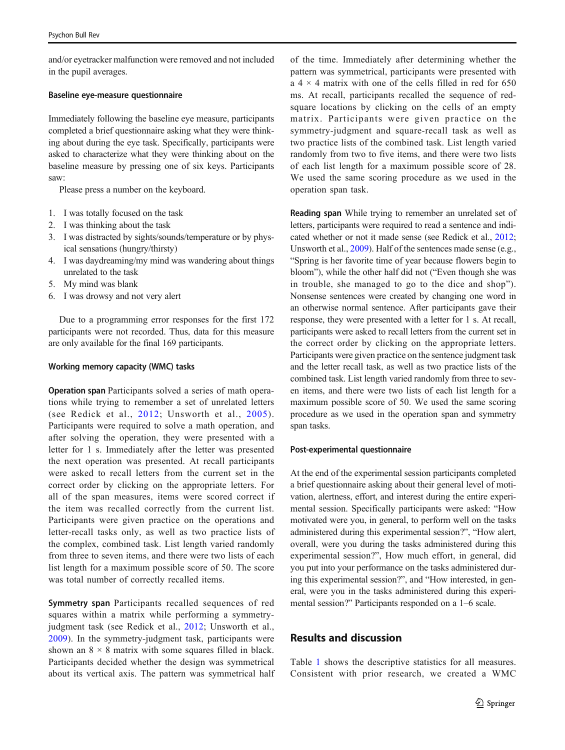and/or eyetracker malfunction were removed and not included in the pupil averages.

### Baseline eye-measure questionnaire

Immediately following the baseline eye measure, participants completed a brief questionnaire asking what they were thinking about during the eye task. Specifically, participants were asked to characterize what they were thinking about on the baseline measure by pressing one of six keys. Participants saw:

Please press a number on the keyboard.

- 1. I was totally focused on the task
- 2. I was thinking about the task
- 3. I was distracted by sights/sounds/temperature or by physical sensations (hungry/thirsty)
- 4. I was daydreaming/my mind was wandering about things unrelated to the task
- 5. My mind was blank
- 6. I was drowsy and not very alert

Due to a programming error responses for the first 172 participants were not recorded. Thus, data for this measure are only available for the final 169 participants.

### Working memory capacity (WMC) tasks

Operation span Participants solved a series of math operations while trying to remember a set of unrelated letters (see Redick et al., [2012](#page-9-0); Unsworth et al., [2005\)](#page-9-0). Participants were required to solve a math operation, and after solving the operation, they were presented with a letter for 1 s. Immediately after the letter was presented the next operation was presented. At recall participants were asked to recall letters from the current set in the correct order by clicking on the appropriate letters. For all of the span measures, items were scored correct if the item was recalled correctly from the current list. Participants were given practice on the operations and letter-recall tasks only, as well as two practice lists of the complex, combined task. List length varied randomly from three to seven items, and there were two lists of each list length for a maximum possible score of 50. The score was total number of correctly recalled items.

Symmetry span Participants recalled sequences of red squares within a matrix while performing a symmetryjudgment task (see Redick et al., [2012;](#page-9-0) Unsworth et al., [2009](#page-9-0)). In the symmetry-judgment task, participants were shown an  $8 \times 8$  matrix with some squares filled in black. Participants decided whether the design was symmetrical about its vertical axis. The pattern was symmetrical half of the time. Immediately after determining whether the pattern was symmetrical, participants were presented with a  $4 \times 4$  matrix with one of the cells filled in red for 650 ms. At recall, participants recalled the sequence of redsquare locations by clicking on the cells of an empty matrix. Participants were given practice on the symmetry-judgment and square-recall task as well as two practice lists of the combined task. List length varied randomly from two to five items, and there were two lists of each list length for a maximum possible score of 28. We used the same scoring procedure as we used in the operation span task.

Reading span While trying to remember an unrelated set of letters, participants were required to read a sentence and indicated whether or not it made sense (see Redick et al., [2012;](#page-9-0) Unsworth et al., [2009\)](#page-9-0). Half of the sentences made sense (e.g., "Spring is her favorite time of year because flowers begin to bloom"), while the other half did not ("Even though she was in trouble, she managed to go to the dice and shop"). Nonsense sentences were created by changing one word in an otherwise normal sentence. After participants gave their response, they were presented with a letter for 1 s. At recall, participants were asked to recall letters from the current set in the correct order by clicking on the appropriate letters. Participants were given practice on the sentence judgment task and the letter recall task, as well as two practice lists of the combined task. List length varied randomly from three to seven items, and there were two lists of each list length for a maximum possible score of 50. We used the same scoring procedure as we used in the operation span and symmetry span tasks.

### Post-experimental questionnaire

At the end of the experimental session participants completed a brief questionnaire asking about their general level of motivation, alertness, effort, and interest during the entire experimental session. Specifically participants were asked: "How motivated were you, in general, to perform well on the tasks administered during this experimental session?", "How alert, overall, were you during the tasks administered during this experimental session?", How much effort, in general, did you put into your performance on the tasks administered during this experimental session?", and "How interested, in general, were you in the tasks administered during this experimental session?" Participants responded on a 1–6 scale.

# Results and discussion

Table [1](#page-3-0) shows the descriptive statistics for all measures. Consistent with prior research, we created a WMC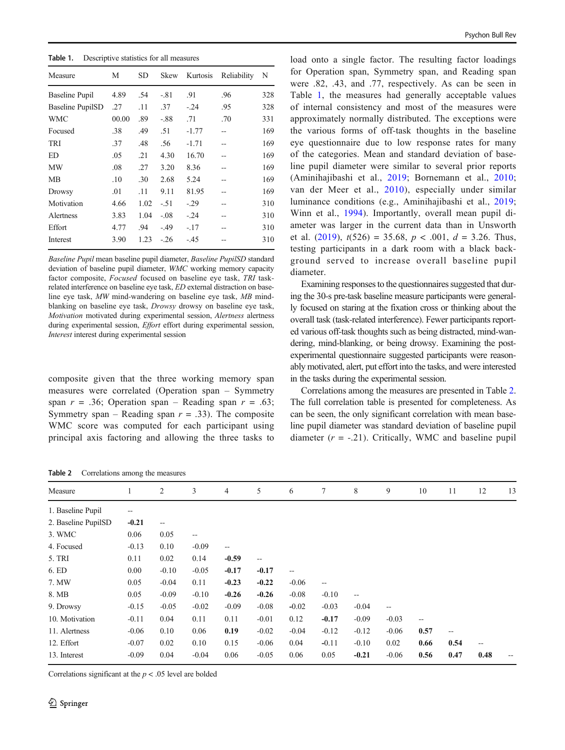<span id="page-3-0"></span>Table 1. Descriptive statistics for all measures

| Measure                 | М     | SD   | Skew   | Kurtosis | Reliability | N   |
|-------------------------|-------|------|--------|----------|-------------|-----|
| <b>Baseline Pupil</b>   | 4.89  | .54  | $-.81$ | .91      | .96         | 328 |
| <b>Baseline PupilSD</b> | .27   | .11  | .37    | $-.24$   | .95         | 328 |
| <b>WMC</b>              | 00.00 | .89  | $-.88$ | .71      | .70         | 331 |
| Focused                 | .38   | .49  | .51    | $-1.77$  | $-$         | 169 |
| TRI                     | .37   | .48  | .56    | $-1.71$  |             | 169 |
| ED                      | .05   | .21  | 4.30   | 16.70    |             | 169 |
| MW                      | .08   | .27  | 3.20   | 8.36     |             | 169 |
| МB                      | .10   | .30  | 2.68   | 5.24     |             | 169 |
| Drowsy                  | .01   | .11  | 9.11   | 81.95    |             | 169 |
| Motivation              | 4.66  | 1.02 | $-.51$ | $-.29$   |             | 310 |
| Alertness               | 3.83  | 1.04 | $-.08$ | $-.24$   |             | 310 |
| Effort                  | 4.77  | .94  | $-49$  | $-.17$   |             | 310 |
| Interest                | 3.90  | 1.23 | $-.26$ | $-.45$   |             | 310 |

*Baseline Pupil* mean baseline pupil diameter, *Baseline PupilSD* standard deviation of baseline pupil diameter, *WMC* working memory capacity factor composite, *Focused* focused on baseline eye task, *TRI* taskrelated interference on baseline eye task, *ED* external distraction on baseline eye task, *MW* mind-wandering on baseline eye task, *MB* mindblanking on baseline eye task, *Drowsy* drowsy on baseline eye task, *Motivation* motivated during experimental session, *Alertness* alertness during experimental session, *Effort* effort during experimental session, *Interest* interest during experimental session

composite given that the three working memory span measures were correlated (Operation span – Symmetry span  $r = .36$ ; Operation span – Reading span  $r = .63$ ; Symmetry span – Reading span  $r = .33$ ). The composite WMC score was computed for each participant using principal axis factoring and allowing the three tasks to

Table 2 Correlations among the measures

load onto a single factor. The resulting factor loadings for Operation span, Symmetry span, and Reading span were .82, .43, and .77, respectively. As can be seen in Table 1, the measures had generally acceptable values of internal consistency and most of the measures were approximately normally distributed. The exceptions were the various forms of off-task thoughts in the baseline eye questionnaire due to low response rates for many of the categories. Mean and standard deviation of baseline pupil diameter were similar to several prior reports (Aminihajibashi et al., [2019;](#page-8-0) Bornemann et al., [2010;](#page-8-0) van der Meer et al., [2010](#page-9-0)), especially under similar luminance conditions (e.g., Aminihajibashi et al., [2019;](#page-8-0) Winn et al., [1994\)](#page-9-0). Importantly, overall mean pupil diameter was larger in the current data than in Unsworth et al. ([2019](#page-9-0)), *t*(526) = 35.68, *p* < .001, *d* = 3.26. Thus, testing participants in a dark room with a black background served to increase overall baseline pupil diameter.

Examining responses to the questionnaires suggested that during the 30-s pre-task baseline measure participants were generally focused on staring at the fixation cross or thinking about the overall task (task-related interference). Fewer participants reported various off-task thoughts such as being distracted, mind-wandering, mind-blanking, or being drowsy. Examining the postexperimental questionnaire suggested participants were reasonably motivated, alert, put effort into the tasks, and were interested in the tasks during the experimental session.

Correlations among the measures are presented in Table 2. The full correlation table is presented for completeness. As can be seen, the only significant correlation with mean baseline pupil diameter was standard deviation of baseline pupil diameter  $(r = -.21)$ . Critically, WMC and baseline pupil

| Measure             |                                       | 2       | 3                 | 4                        | 5                 | 6       | 7                        | 8       | 9                        | 10             | 11    | 12   | 13 |
|---------------------|---------------------------------------|---------|-------------------|--------------------------|-------------------|---------|--------------------------|---------|--------------------------|----------------|-------|------|----|
| 1. Baseline Pupil   | $\hspace{0.05cm}$ – $\hspace{0.05cm}$ |         |                   |                          |                   |         |                          |         |                          |                |       |      |    |
| 2. Baseline PupilSD | $-0.21$                               | $-$     |                   |                          |                   |         |                          |         |                          |                |       |      |    |
| 3. WMC              | 0.06                                  | 0.05    | $\qquad \qquad -$ |                          |                   |         |                          |         |                          |                |       |      |    |
| 4. Focused          | $-0.13$                               | 0.10    | $-0.09$           | $\overline{\phantom{a}}$ |                   |         |                          |         |                          |                |       |      |    |
| 5. TRI              | 0.11                                  | 0.02    | 0.14              | $-0.59$                  | $\qquad \qquad -$ |         |                          |         |                          |                |       |      |    |
| 6. ED               | 0.00                                  | $-0.10$ | $-0.05$           | $-0.17$                  | $-0.17$           | $--$    |                          |         |                          |                |       |      |    |
| 7. MW               | 0.05                                  | $-0.04$ | 0.11              | $-0.23$                  | $-0.22$           | $-0.06$ | $\overline{\phantom{m}}$ |         |                          |                |       |      |    |
| 8. MB               | 0.05                                  | $-0.09$ | $-0.10$           | $-0.26$                  | $-0.26$           | $-0.08$ | $-0.10$                  | $-$     |                          |                |       |      |    |
| 9. Drowsy           | $-0.15$                               | $-0.05$ | $-0.02$           | $-0.09$                  | $-0.08$           | $-0.02$ | $-0.03$                  | $-0.04$ | $\overline{\phantom{a}}$ |                |       |      |    |
| 10. Motivation      | $-0.11$                               | 0.04    | 0.11              | 0.11                     | $-0.01$           | 0.12    | $-0.17$                  | $-0.09$ | $-0.03$                  | $\overline{a}$ |       |      |    |
| 11. Alertness       | $-0.06$                               | 0.10    | 0.06              | 0.19                     | $-0.02$           | $-0.04$ | $-0.12$                  | $-0.12$ | $-0.06$                  | 0.57           | $- -$ |      |    |
| 12. Effort          | $-0.07$                               | 0.02    | 0.10              | 0.15                     | $-0.06$           | 0.04    | $-0.11$                  | $-0.10$ | 0.02                     | 0.66           | 0.54  | --   |    |
| 13. Interest        | $-0.09$                               | 0.04    | $-0.04$           | 0.06                     | $-0.05$           | 0.06    | 0.05                     | $-0.21$ | $-0.06$                  | 0.56           | 0.47  | 0.48 |    |
|                     |                                       |         |                   |                          |                   |         |                          |         |                          |                |       |      |    |

Correlations significant at the *p* < .05 level are bolded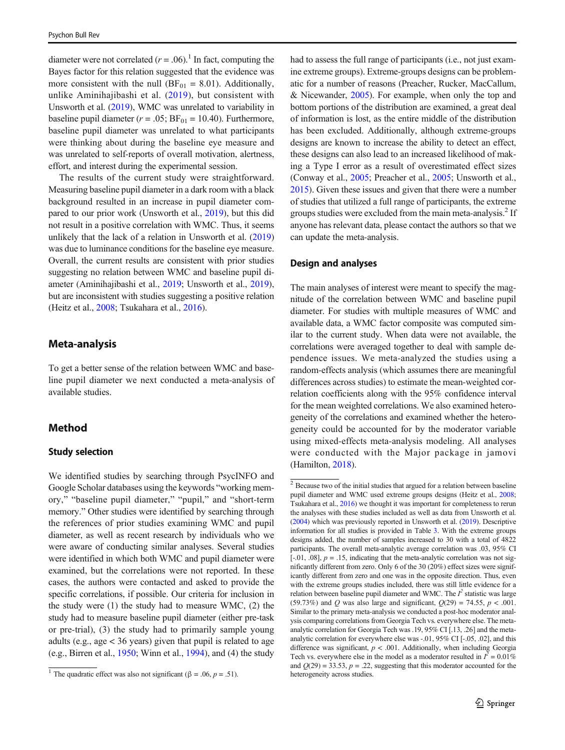diameter were not correlated  $(r = .06)$ .<sup>1</sup> In fact, computing the Bayes factor for this relation suggested that the evidence was more consistent with the null ( $BF_{01} = 8.01$ ). Additionally, unlike Aminihajibashi et al. ([2019](#page-8-0)), but consistent with Unsworth et al. [\(2019\)](#page-9-0), WMC was unrelated to variability in baseline pupil diameter ( $r = .05$ ;  $BF_{01} = 10.40$ ). Furthermore, baseline pupil diameter was unrelated to what participants were thinking about during the baseline eye measure and was unrelated to self-reports of overall motivation, alertness, effort, and interest during the experimental session.

The results of the current study were straightforward. Measuring baseline pupil diameter in a dark room with a black background resulted in an increase in pupil diameter compared to our prior work (Unsworth et al., [2019\)](#page-9-0), but this did not result in a positive correlation with WMC. Thus, it seems unlikely that the lack of a relation in Unsworth et al. [\(2019\)](#page-9-0) was due to luminance conditions for the baseline eye measure. Overall, the current results are consistent with prior studies suggesting no relation between WMC and baseline pupil diameter (Aminihajibashi et al., [2019](#page-8-0); Unsworth et al., [2019\)](#page-9-0), but are inconsistent with studies suggesting a positive relation (Heitz et al., [2008](#page-9-0); Tsukahara et al., [2016\)](#page-9-0).

### Meta-analysis

To get a better sense of the relation between WMC and baseline pupil diameter we next conducted a meta-analysis of available studies.

# Method

### Study selection

We identified studies by searching through PsycINFO and Google Scholar databases using the keywords "working memory," "baseline pupil diameter," "pupil," and "short-term memory." Other studies were identified by searching through the references of prior studies examining WMC and pupil diameter, as well as recent research by individuals who we were aware of conducting similar analyses. Several studies were identified in which both WMC and pupil diameter were examined, but the correlations were not reported. In these cases, the authors were contacted and asked to provide the specific correlations, if possible. Our criteria for inclusion in the study were (1) the study had to measure WMC, (2) the study had to measure baseline pupil diameter (either pre-task or pre-trial), (3) the study had to primarily sample young adults (e.g., age < 36 years) given that pupil is related to age (e.g., Birren et al., [1950](#page-8-0); Winn et al., [1994\)](#page-9-0), and (4) the study

had to assess the full range of participants (*i.e.*, not just examine extreme groups). Extreme-groups designs can be problematic for a number of reasons (Preacher, Rucker, MacCallum, & Nicewander, [2005](#page-9-0)). For example, when only the top and bottom portions of the distribution are examined, a great deal of information is lost, as the entire middle of the distribution has been excluded. Additionally, although extreme-groups designs are known to increase the ability to detect an effect, these designs can also lead to an increased likelihood of making a Type I error as a result of overestimated effect sizes (Conway et al., [2005](#page-9-0); Preacher et al., [2005;](#page-9-0) Unsworth et al., [2015\)](#page-9-0). Given these issues and given that there were a number of studies that utilized a full range of participants, the extreme groups studies were excluded from the main meta-analysis.<sup>2</sup> If anyone has relevant data, please contact the authors so that we can update the meta-analysis.

### Design and analyses

The main analyses of interest were meant to specify the magnitude of the correlation between WMC and baseline pupil diameter. For studies with multiple measures of WMC and available data, a WMC factor composite was computed similar to the current study. When data were not available, the correlations were averaged together to deal with sample dependence issues. We meta-analyzed the studies using a random-effects analysis (which assumes there are meaningful differences across studies) to estimate the mean-weighted correlation coefficients along with the 95% confidence interval for the mean weighted correlations. We also examined heterogeneity of the correlations and examined whether the heterogeneity could be accounted for by the moderator variable using mixed-effects meta-analysis modeling. All analyses were conducted with the Major package in jamovi (Hamilton, [2018](#page-9-0)).

<sup>&</sup>lt;sup>1</sup> The quadratic effect was also not significant ( $\beta$  = .06, *p* = .51).

 $2$  Because two of the initial studies that argued for a relation between baseline pupil diameter and WMC used extreme groups designs (Heitz et al., [2008](#page-9-0); Tsukahara et al., [2016](#page-9-0)) we thought it was important for completeness to rerun the analyses with these studies included as well as data from Unsworth et al. ([2004](#page-9-0)) which was previously reported in Unsworth et al. [\(2019](#page-9-0)). Descriptive information for all studies is provided in Table [3](#page-6-0). With the extreme groups designs added, the number of samples increased to 30 with a total of 4822 participants. The overall meta-analytic average correlation was .03, 95% CI  $[-.01, .08]$ ,  $p = .15$ , indicating that the meta-analytic correlation was not significantly different from zero. Only 6 of the 30 (20%) effect sizes were significantly different from zero and one was in the opposite direction. Thus, even with the extreme groups studies included, there was still little evidence for a relation between baseline pupil diameter and WMC. The  $I^2$  statistic was large (59.73%) and *Q* was also large and significant,  $O(29) = 74.55$ ,  $p < .001$ . Similar to the primary meta-analysis we conducted a post-hoc moderator analysis comparing correlations from Georgia Tech vs. everywhere else. The metaanalytic correlation for Georgia Tech was .19, 95% CI [.13, .26] and the metaanalytic correlation for everywhere else was -.01, 95% CI [-.05, .02], and this difference was significant,  $p < .001$ . Additionally, when including Georgia Tech vs. everywhere else in the model as a moderator resulted in  $I^2 = 0.01\%$ and  $Q(29) = 33.53$ ,  $p = .22$ , suggesting that this moderator accounted for the heterogeneity across studies.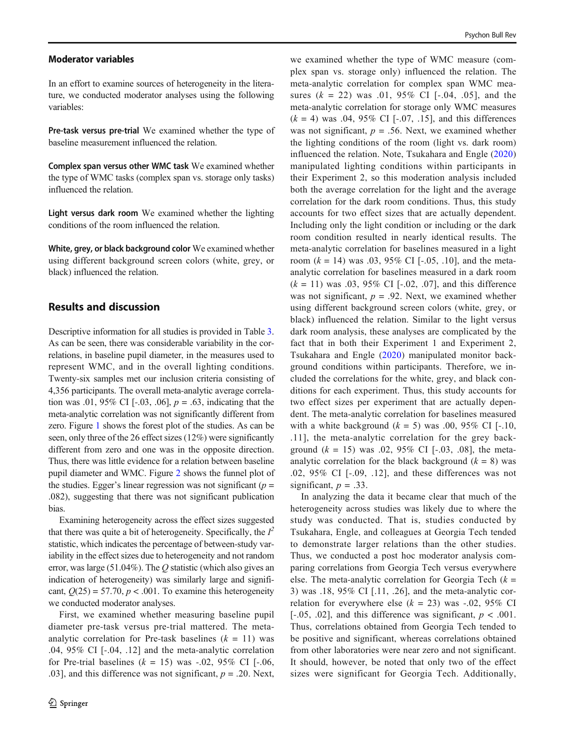### Moderator variables

In an effort to examine sources of heterogeneity in the literature, we conducted moderator analyses using the following variables:

Pre-task versus pre-trial We examined whether the type of baseline measurement influenced the relation.

Complex span versus other WMC task We examined whether the type of WMC tasks (complex span vs. storage only tasks) influenced the relation.

Light versus dark room We examined whether the lighting conditions of the room influenced the relation.

White, grey, or black background color We examined whether using different background screen colors (white, grey, or black) influenced the relation.

# Results and discussion

Descriptive information for all studies is provided in Table [3.](#page-6-0) As can be seen, there was considerable variability in the correlations, in baseline pupil diameter, in the measures used to represent WMC, and in the overall lighting conditions. Twenty-six samples met our inclusion criteria consisting of 4,356 participants. The overall meta-analytic average correlation was .01, 95% CI [-.03, .06],  $p = .63$ , indicating that the meta-analytic correlation was not significantly different from zero. Figure [1](#page-7-0) shows the forest plot of the studies. As can be seen, only three of the 26 effect sizes (12%) were significantly different from zero and one was in the opposite direction. Thus, there was little evidence for a relation between baseline pupil diameter and WMC. Figure [2](#page-7-0) shows the funnel plot of the studies. Egger's linear regression was not significant  $(p =$ .082), suggesting that there was not significant publication bias.

Examining heterogeneity across the effect sizes suggested that there was quite a bit of heterogeneity. Specifically, the  $I^2$ statistic, which indicates the percentage of between-study variability in the effect sizes due to heterogeneity and not random error, was large (51.04%). The *Q* statistic (which also gives an indication of heterogeneity) was similarly large and significant,  $Q(25) = 57.70$ ,  $p < .001$ . To examine this heterogeneity we conducted moderator analyses.

First, we examined whether measuring baseline pupil diameter pre-task versus pre-trial mattered. The metaanalytic correlation for Pre-task baselines  $(k = 11)$  was .04, 95% CI [-.04, .12] and the meta-analytic correlation for Pre-trial baselines  $(k = 15)$  was  $-.02, 95\%$  CI [ $-.06,$ ] .03], and this difference was not significant, *p* = .20. Next,

we examined whether the type of WMC measure (complex span vs. storage only) influenced the relation. The meta-analytic correlation for complex span WMC measures  $(k = 22)$  was .01, 95% CI [-.04, .05], and the meta-analytic correlation for storage only WMC measures  $(k = 4)$  was .04, 95% CI [-.07, .15], and this differences was not significant,  $p = .56$ . Next, we examined whether the lighting conditions of the room (light vs. dark room) influenced the relation. Note, Tsukahara and Engle ([2020](#page-9-0)) manipulated lighting conditions within participants in their Experiment 2, so this moderation analysis included both the average correlation for the light and the average correlation for the dark room conditions. Thus, this study accounts for two effect sizes that are actually dependent. Including only the light condition or including or the dark room condition resulted in nearly identical results. The meta-analytic correlation for baselines measured in a light room (*k* = 14) was .03, 95% CI [-.05, .10], and the metaanalytic correlation for baselines measured in a dark room (*k* = 11) was .03, 95% CI [-.02, .07], and this difference was not significant,  $p = .92$ . Next, we examined whether using different background screen colors (white, grey, or black) influenced the relation. Similar to the light versus dark room analysis, these analyses are complicated by the fact that in both their Experiment 1 and Experiment 2, Tsukahara and Engle ([2020](#page-9-0)) manipulated monitor background conditions within participants. Therefore, we included the correlations for the white, grey, and black conditions for each experiment. Thus, this study accounts for two effect sizes per experiment that are actually dependent. The meta-analytic correlation for baselines measured with a white background  $(k = 5)$  was .00, 95% CI [-.10, .11], the meta-analytic correlation for the grey background  $(k = 15)$  was .02, 95% CI [-.03, .08], the metaanalytic correlation for the black background  $(k = 8)$  was .02, 95% CI [-.09, .12], and these differences was not significant,  $p = .33$ .

In analyzing the data it became clear that much of the heterogeneity across studies was likely due to where the study was conducted. That is, studies conducted by Tsukahara, Engle, and colleagues at Georgia Tech tended to demonstrate larger relations than the other studies. Thus, we conducted a post hoc moderator analysis comparing correlations from Georgia Tech versus everywhere else. The meta-analytic correlation for Georgia Tech (*k* = 3) was .18, 95% CI [.11, .26], and the meta-analytic correlation for everywhere else  $(k = 23)$  was -.02, 95% CI [ $-0.05$ ,  $0.02$ ], and this difference was significant,  $p < 0.001$ . Thus, correlations obtained from Georgia Tech tended to be positive and significant, whereas correlations obtained from other laboratories were near zero and not significant. It should, however, be noted that only two of the effect sizes were significant for Georgia Tech. Additionally,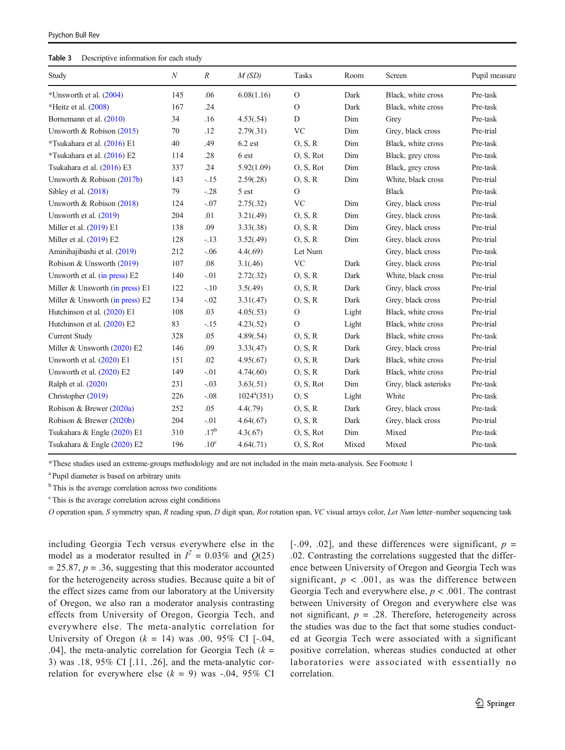| Study                               | $\boldsymbol{N}$ | $\boldsymbol{R}$ | M(SD)         | Tasks          | Room  | Screen                | Pupil measure |
|-------------------------------------|------------------|------------------|---------------|----------------|-------|-----------------------|---------------|
| *Unsworth et al. (2004)             | 145              | .06              | 6.08(1.16)    | $\mathcal{O}$  | Dark  | Black, white cross    | Pre-task      |
| *Heitz et al. (2008)                | 167              | .24              |               | $\overline{O}$ | Dark  | Black, white cross    | Pre-task      |
| Bornemann et al. (2010)             | 34               | .16              | 4.53(.54)     | D              | Dim   | Grey                  | Pre-task      |
| Unsworth & Robison (2015)           | 70               | .12              | 2.79(.31)     | <b>VC</b>      | Dim   | Grey, black cross     | Pre-trial     |
| *Tsukahara et al. (2016) E1         | 40               | .49              | $6.2$ est     | O, S, R        | Dim   | Black, white cross    | Pre-task      |
| *Tsukahara et al. (2016) E2         | 114              | .28              | 6 est         | O, S, Rot      | Dim   | Black, grey cross     | Pre-task      |
| Tsukahara et al. (2016) E3          | 337              | .24              | 5.92(1.09)    | O, S, Rot      | Dim   | Black, grey cross     | Pre-task      |
| Unsworth & Robison (2017b)          | 143              | $-.15$           | 2.59(.28)     | O, S, R        | Dim   | White, black cross    | Pre-trial     |
| Sibley et al. (2018)                | 79               | $-.28$           | 5 est         | $\overline{O}$ |       | <b>Black</b>          | Pre-task      |
| Unsworth & Robison (2018)           | 124              | $-.07$           | 2.75(.32)     | <b>VC</b>      | Dim   | Grey, black cross     | Pre-trial     |
| Unsworth et al. $(2019)$            | 204              | .01              | 3.21(.49)     | O, S, R        | Dim   | Grey, black cross     | Pre-task      |
| Miller et al. (2019) E1             | 138              | .09              | 3.33(.38)     | O, S, R        | Dim   | Grey, black cross     | Pre-trial     |
| Miller et al. $(2019)$ E2           | 128              | $-.13$           | 3.52(.49)     | O, S, R        | Dim   | Grey, black cross     | Pre-trial     |
| Aminihajibashi et al. (2019)        | 212              | $-.06$           | 4.4(.69)      | Let Num        |       | Grey, black cross     | Pre-task      |
| Robison & Unsworth (2019)           | 107              | .08              | 3.1(.46)      | <b>VC</b>      | Dark  | Grey, black cross     | Pre-trial     |
| Unsworth et al. (in press) E2       | 140              | $-.01$           | 2.72(.32)     | O, S, R        | Dark  | White, black cross    | Pre-trial     |
| Miller & Unsworth $(in$ press) $E1$ | 122              | $-.10$           | 3.5(.49)      | O, S, R        | Dark  | Grey, black cross     | Pre-trial     |
| Miller & Unsworth (in press) E2     | 134              | $-.02$           | 3.31(.47)     | O, S, R        | Dark  | Grey, black cross     | Pre-trial     |
| Hutchinson et al. (2020) E1         | 108              | .03              | 4.05(.53)     | $\rm{O}$       | Light | Black, white cross    | Pre-trial     |
| Hutchinson et al. (2020) E2         | 83               | $-.15$           | 4.23(.52)     | $\mathcal{O}$  | Light | Black, white cross    | Pre-trial     |
| Current Study                       | 328              | .05              | 4.89(.54)     | O, S, R        | Dark  | Black, white cross    | Pre-task      |
| Miller & Unsworth (2020) E2         | 146              | .09              | 3.33(.47)     | O, S, R        | Dark  | Grey, black cross     | Pre-trial     |
| Unsworth et al. $(2020)$ E1         | 151              | .02              | 4.95(.67)     | O, S, R        | Dark  | Black, white cross    | Pre-trial     |
| Unsworth et al. (2020) E2           | 149              | $-.01$           | 4.74(.60)     | O, S, R        | Dark  | Black, white cross    | Pre-trial     |
| Ralph et al. (2020)                 | 231              | $-.03$           | 3.63(.51)     | O, S, Rot      | Dim   | Grey, black asterisks | Pre-task      |
| Christopher (2019)                  | 226              | $-.08$           | $1024^a(351)$ | O, S           | Light | White                 | Pre-task      |
| Robison & Brewer (2020a)            | 252              | .05              | 4.4(.79)      | O, S, R        | Dark  | Grey, black cross     | Pre-task      |
| Robison & Brewer (2020b)            | 204              | $-.01$           | 4.64(.67)     | O, S, R        | Dark  | Grey, black cross     | Pre-trial     |
| Tsukahara & Engle (2020) E1         | 310              | $.17^{b}$        | 4.3(.67)      | O, S, Rot      | Dim   | Mixed                 | Pre-task      |
| Tsukahara & Engle (2020) E2         | 196              | .10 <sup>c</sup> | 4.64(.71)     | O, S, Rot      | Mixed | Mixed                 | Pre-task      |

#### <span id="page-6-0"></span>Table 3 Descriptive information for each study

\*These studies used an extreme-groups methodology and are not included in the main meta-analysis. See Footnote 1

<sup>a</sup> Pupil diameter is based on arbitrary units

<sup>b</sup> This is the average correlation across two conditions

<sup>c</sup> This is the average correlation across eight conditions

*O* operation span, *S* symmetry span, *R* reading span, *D* digit span, *Rot* rotation span, *VC* visual arrays color, *Let Num* letter–number sequencing task

including Georgia Tech versus everywhere else in the model as a moderator resulted in  $I^2 = 0.03\%$  and  $Q(25)$  $= 25.87, p = .36$ , suggesting that this moderator accounted for the heterogeneity across studies. Because quite a bit of the effect sizes came from our laboratory at the University of Oregon, we also ran a moderator analysis contrasting effects from University of Oregon, Georgia Tech, and everywhere else. The meta-analytic correlation for University of Oregon  $(k = 14)$  was .00, 95% CI [-.04, .04], the meta-analytic correlation for Georgia Tech (*k* = 3) was .18, 95% CI [.11, .26], and the meta-analytic correlation for everywhere else  $(k = 9)$  was -.04, 95% CI  $[-.09, .02]$ , and these differences were significant,  $p =$ .02. Contrasting the correlations suggested that the difference between University of Oregon and Georgia Tech was significant,  $p < .001$ , as was the difference between Georgia Tech and everywhere else, *p* < .001. The contrast between University of Oregon and everywhere else was not significant,  $p = .28$ . Therefore, heterogeneity across the studies was due to the fact that some studies conducted at Georgia Tech were associated with a significant positive correlation, whereas studies conducted at other laboratories were associated with essentially no correlation.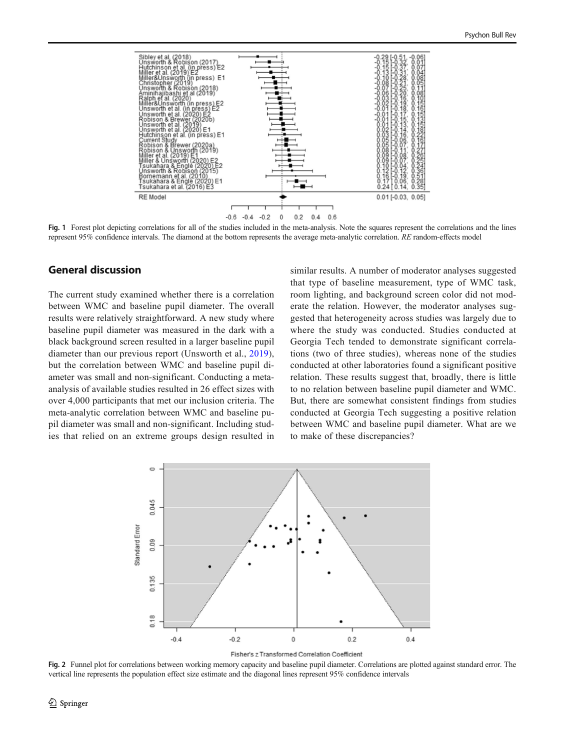<span id="page-7-0"></span>

Fig. 1 Forest plot depicting correlations for all of the studies included in the meta-analysis. Note the squares represent the correlations and the lines represent 95% confidence intervals. The diamond at the bottom represents the average meta-analytic correlation. *RE* random-effects model

# General discussion

The current study examined whether there is a correlation between WMC and baseline pupil diameter. The overall results were relatively straightforward. A new study where baseline pupil diameter was measured in the dark with a black background screen resulted in a larger baseline pupil diameter than our previous report (Unsworth et al., [2019](#page-9-0)), but the correlation between WMC and baseline pupil diameter was small and non-significant. Conducting a metaanalysis of available studies resulted in 26 effect sizes with over 4,000 participants that met our inclusion criteria. The meta-analytic correlation between WMC and baseline pupil diameter was small and non-significant. Including studies that relied on an extreme groups design resulted in similar results. A number of moderator analyses suggested that type of baseline measurement, type of WMC task, room lighting, and background screen color did not moderate the relation. However, the moderator analyses suggested that heterogeneity across studies was largely due to where the study was conducted. Studies conducted at Georgia Tech tended to demonstrate significant correlations (two of three studies), whereas none of the studies conducted at other laboratories found a significant positive relation. These results suggest that, broadly, there is little to no relation between baseline pupil diameter and WMC. But, there are somewhat consistent findings from studies conducted at Georgia Tech suggesting a positive relation between WMC and baseline pupil diameter. What are we to make of these discrepancies?



Fig. 2 Funnel plot for correlations between working memory capacity and baseline pupil diameter. Correlations are plotted against standard error. The vertical line represents the population effect size estimate and the diagonal lines represent 95% confidence intervals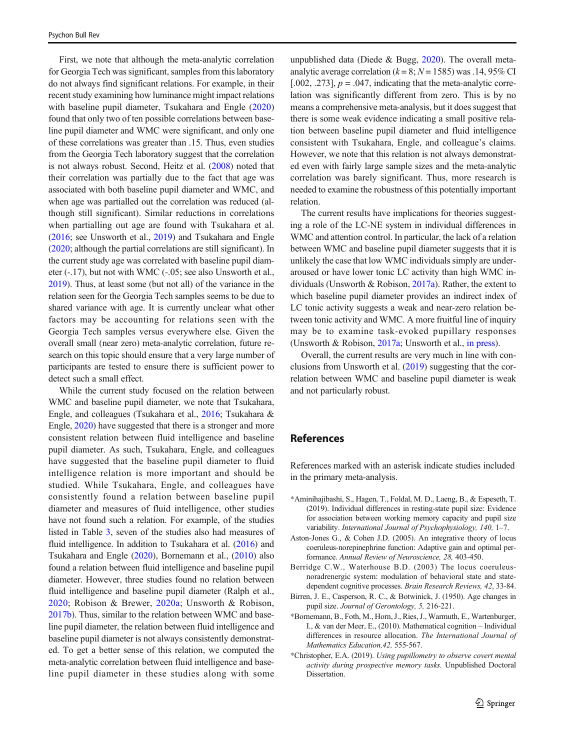<span id="page-8-0"></span>First, we note that although the meta-analytic correlation for Georgia Tech was significant, samples from this laboratory do not always find significant relations. For example, in their recent study examining how luminance might impact relations with baseline pupil diameter, Tsukahara and Engle ([2020\)](#page-9-0) found that only two of ten possible correlations between baseline pupil diameter and WMC were significant, and only one of these correlations was greater than .15. Thus, even studies from the Georgia Tech laboratory suggest that the correlation is not always robust. Second, Heitz et al. [\(2008\)](#page-9-0) noted that their correlation was partially due to the fact that age was associated with both baseline pupil diameter and WMC, and when age was partialled out the correlation was reduced (although still significant). Similar reductions in correlations when partialling out age are found with Tsukahara et al. [\(2016;](#page-9-0) see Unsworth et al., [2019\)](#page-9-0) and Tsukahara and Engle [\(2020;](#page-9-0) although the partial correlations are still significant). In the current study age was correlated with baseline pupil diameter (-.17), but not with WMC (-.05; see also Unsworth et al., [2019\)](#page-9-0). Thus, at least some (but not all) of the variance in the relation seen for the Georgia Tech samples seems to be due to shared variance with age. It is currently unclear what other factors may be accounting for relations seen with the Georgia Tech samples versus everywhere else. Given the overall small (near zero) meta-analytic correlation, future research on this topic should ensure that a very large number of participants are tested to ensure there is sufficient power to detect such a small effect.

While the current study focused on the relation between WMC and baseline pupil diameter, we note that Tsukahara, Engle, and colleagues (Tsukahara et al., [2016;](#page-9-0) Tsukahara & Engle, [2020\)](#page-9-0) have suggested that there is a stronger and more consistent relation between fluid intelligence and baseline pupil diameter. As such, Tsukahara, Engle, and colleagues have suggested that the baseline pupil diameter to fluid intelligence relation is more important and should be studied. While Tsukahara, Engle, and colleagues have consistently found a relation between baseline pupil diameter and measures of fluid intelligence, other studies have not found such a relation. For example, of the studies listed in Table [3,](#page-6-0) seven of the studies also had measures of fluid intelligence. In addition to Tsukahara et al. [\(2016\)](#page-9-0) and Tsukahara and Engle [\(2020](#page-9-0)), Bornemann et al., (2010) also found a relation between fluid intelligence and baseline pupil diameter. However, three studies found no relation between fluid intelligence and baseline pupil diameter (Ralph et al., [2020;](#page-9-0) Robison & Brewer, [2020a;](#page-9-0) Unsworth & Robison, [2017b](#page-9-0)). Thus, similar to the relation between WMC and baseline pupil diameter, the relation between fluid intelligence and baseline pupil diameter is not always consistently demonstrated. To get a better sense of this relation, we computed the meta-analytic correlation between fluid intelligence and baseline pupil diameter in these studies along with some

unpublished data (Diede & Bugg, [2020](#page-9-0)). The overall metaanalytic average correlation  $(k = 8; N = 1585)$  was .14, 95% CI [.002, .273],  $p = .047$ , indicating that the meta-analytic correlation was significantly different from zero. This is by no means a comprehensive meta-analysis, but it does suggest that there is some weak evidence indicating a small positive relation between baseline pupil diameter and fluid intelligence consistent with Tsukahara, Engle, and colleague's claims. However, we note that this relation is not always demonstrated even with fairly large sample sizes and the meta-analytic correlation was barely significant. Thus, more research is needed to examine the robustness of this potentially important relation.

The current results have implications for theories suggesting a role of the LC-NE system in individual differences in WMC and attention control. In particular, the lack of a relation between WMC and baseline pupil diameter suggests that it is unlikely the case that low WMC individuals simply are underaroused or have lower tonic LC activity than high WMC individuals (Unsworth & Robison, [2017a](#page-9-0)). Rather, the extent to which baseline pupil diameter provides an indirect index of LC tonic activity suggests a weak and near-zero relation between tonic activity and WMC. A more fruitful line of inquiry may be to examine task-evoked pupillary responses (Unsworth & Robison, [2017a;](#page-9-0) Unsworth et al., [in press](#page-9-0)).

Overall, the current results are very much in line with conclusions from Unsworth et al. ([2019](#page-9-0)) suggesting that the correlation between WMC and baseline pupil diameter is weak and not particularly robust.

# References

References marked with an asterisk indicate studies included in the primary meta-analysis.

- \*Aminihajibashi, S., Hagen, T., Foldal, M. D., Laeng, B., & Espeseth, T. (2019). Individual differences in resting-state pupil size: Evidence for association between working memory capacity and pupil size variability. *International Journal of Psychophysiology, 140,* 1–7.
- Aston-Jones G., & Cohen J.D. (2005). An integrative theory of locus coeruleus-norepinephrine function: Adaptive gain and optimal performance. *Annual Review of Neuroscience, 28,* 403-450.
- Berridge C.W., Waterhouse B.D. (2003) The locus coeruleusnoradrenergic system: modulation of behavioral state and statedependent cognitive processes. *Brain Research Reviews, 42*, 33-84.
- Birren, J. E., Casperson, R. C., & Botwinick, J. (1950). Age changes in pupil size. *Journal of Gerontology, 5,* 216-221.
- \*Bornemann, B., Foth, M., Horn, J., Ries, J., Warmuth, E., Wartenburger, I., & van der Meer, E., (2010). Mathematical cognition – Individual differences in resource allocation. *The International Journal of Mathematics Education,42,* 555-567.
- \*Christopher, E.A. (2019). *Using pupillometry to observe covert mental activity during prospective memory tasks.* Unpublished Doctoral Dissertation.